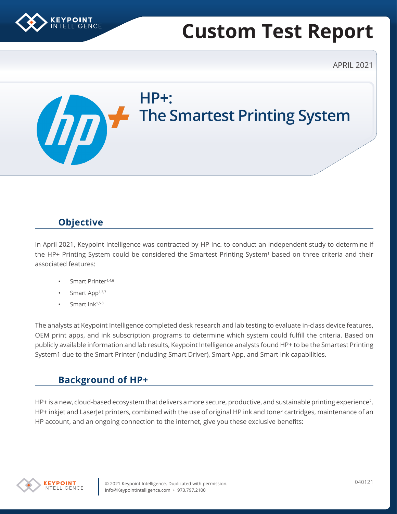

# **Custom Test Report**

APRIL 2021

**HP+: The Smartest Printing System**  $\boldsymbol{\varPi}$ 

# **Objective**

In April 2021, Keypoint Intelligence was contracted by HP Inc. to conduct an independent study to determine if the HP+ Printing System could be considered the Smartest Printing System<sup>1</sup> based on three criteria and their associated features:

- Smart Printer<sup>1,4,6</sup>
- Smart App<sup>1,3,7</sup>
- Smart Ink<sup>1,5,8</sup>

The analysts at Keypoint Intelligence completed desk research and lab testing to evaluate in-class device features, OEM print apps, and ink subscription programs to determine which system could fulfill the criteria. Based on publicly available information and lab results, Keypoint Intelligence analysts found HP+ to be the Smartest Printing System1 due to the Smart Printer (including Smart Driver), Smart App, and Smart Ink capabilities.

# **Background of HP+**

HP+ is a new, cloud-based ecosystem that delivers a more secure, productive, and sustainable printing experience<sup>2</sup>. HP+ inkjet and LaserJet printers, combined with the use of original HP ink and toner cartridges, maintenance of an HP account, and an ongoing connection to the internet, give you these exclusive benefits:

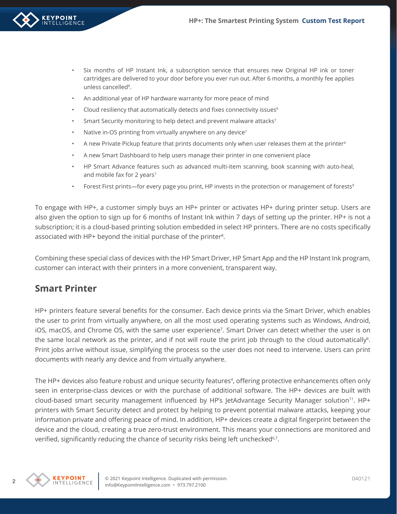- Six months of HP Instant Ink, a subscription service that ensures new Original HP ink or toner cartridges are delivered to your door before you ever run out. After 6 months, a monthly fee applies unless cancelled<sup>8</sup>.
- An additional year of HP hardware warranty for more peace of mind
- Cloud resiliency that automatically detects and fixes connectivity issues<sup>6</sup>
- Smart Security monitoring to help detect and prevent malware attacks<sup>7</sup>
- Native in-OS printing from virtually anywhere on any device<sup>7</sup>
- A new Private Pickup feature that prints documents only when user releases them at the printer<sup>4</sup>
- A new Smart Dashboard to help users manage their printer in one convenient place
- HP Smart Advance features such as advanced multi-item scanning, book scanning with auto-heal, and mobile fax for 2 years<sup>7</sup>
- Forest First prints—for every page you print, HP invests in the protection or management of forests<sup>9</sup>

To engage with HP+, a customer simply buys an HP+ printer or activates HP+ during printer setup. Users are also given the option to sign up for 6 months of Instant Ink within 7 days of setting up the printer. HP+ is not a subscription; it is a cloud-based printing solution embedded in select HP printers. There are no costs specifically associated with HP+ beyond the initial purchase of the printer<sup>8</sup>.

Combining these special class of devices with the HP Smart Driver, HP Smart App and the HP Instant Ink program, customer can interact with their printers in a more convenient, transparent way.

#### **Smart Printer**

HP+ printers feature several benefits for the consumer. Each device prints via the Smart Driver, which enables the user to print from virtually anywhere, on all the most used operating systems such as Windows, Android, iOS, macOS, and Chrome OS, with the same user experience7. Smart Driver can detect whether the user is on the same local network as the printer, and if not will route the print job through to the cloud automatically<sup>6</sup>. Print jobs arrive without issue, simplifying the process so the user does not need to intervene. Users can print documents with nearly any device and from virtually anywhere.

The HP+ devices also feature robust and unique security features<sup>4</sup>, offering protective enhancements often only seen in enterprise-class devices or with the purchase of additional software. The HP+ devices are built with cloud-based smart security management influenced by HP's JetAdvantage Security Manager solution<sup>11</sup>. HP+ printers with Smart Security detect and protect by helping to prevent potential malware attacks, keeping your information private and offering peace of mind. In addition, HP+ devices create a digital fingerprint between the device and the cloud, creating a true zero-trust environment. This means your connections are monitored and verified, significantly reducing the chance of security risks being left unchecked<sup>6,7</sup>.

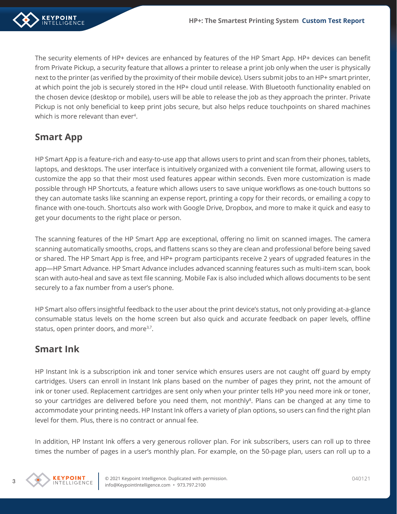

The security elements of HP+ devices are enhanced by features of the HP Smart App. HP+ devices can benefit from Private Pickup, a security feature that allows a printer to release a print job only when the user is physically next to the printer (as verified by the proximity of their mobile device). Users submit jobs to an HP+ smart printer, at which point the job is securely stored in the HP+ cloud until release. With Bluetooth functionality enabled on the chosen device (desktop or mobile), users will be able to release the job as they approach the printer. Private Pickup is not only beneficial to keep print jobs secure, but also helps reduce touchpoints on shared machines which is more relevant than ever<sup>4</sup>.

# **Smart App**

HP Smart App is a feature-rich and easy-to-use app that allows users to print and scan from their phones, tablets, laptops, and desktops. The user interface is intuitively organized with a convenient tile format, allowing users to customize the app so that their most used features appear within seconds. Even more customization is made possible through HP Shortcuts, a feature which allows users to save unique workflows as one-touch buttons so they can automate tasks like scanning an expense report, printing a copy for their records, or emailing a copy to finance with one-touch. Shortcuts also work with Google Drive, Dropbox, and more to make it quick and easy to get your documents to the right place or person.

The scanning features of the HP Smart App are exceptional, offering no limit on scanned images. The camera scanning automatically smooths, crops, and flattens scans so they are clean and professional before being saved or shared. The HP Smart App is free, and HP+ program participants receive 2 years of upgraded features in the app—HP Smart Advance. HP Smart Advance includes advanced scanning features such as multi-item scan, book scan with auto-heal and save as text file scanning. Mobile Fax is also included which allows documents to be sent securely to a fax number from a user's phone.

HP Smart also offers insightful feedback to the user about the print device's status, not only providing at-a-glance consumable status levels on the home screen but also quick and accurate feedback on paper levels, offline status, open printer doors, and more<sup>3,7</sup>.

## **Smart Ink**

HP Instant Ink is a subscription ink and toner service which ensures users are not caught off guard by empty cartridges. Users can enroll in Instant Ink plans based on the number of pages they print, not the amount of ink or toner used. Replacement cartridges are sent only when your printer tells HP you need more ink or toner, so your cartridges are delivered before you need them, not monthly<sup>8</sup>. Plans can be changed at any time to accommodate your printing needs. HP Instant Ink offers a variety of plan options, so users can find the right plan level for them. Plus, there is no contract or annual fee.

In addition, HP Instant Ink offers a very generous rollover plan. For ink subscribers, users can roll up to three times the number of pages in a user's monthly plan. For example, on the 50-page plan, users can roll up to a

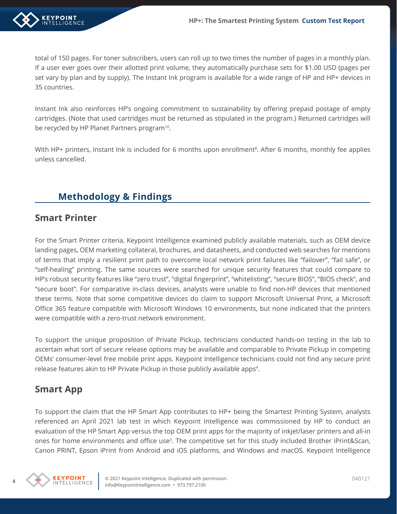

total of 150 pages. For toner subscribers, users can roll up to two times the number of pages in a monthly plan. If a user ever goes over their allotted print volume, they automatically purchase sets for \$1.00 USD (pages per set vary by plan and by supply). The Instant Ink program is available for a wide range of HP and HP+ devices in 35 countries.

Instant Ink also reinforces HP's ongoing commitment to sustainability by offering prepaid postage of empty cartridges. (Note that used cartridges must be returned as stipulated in the program.) Returned cartridges will be recycled by HP Planet Partners program<sup>10</sup>.

With HP+ printers, Instant Ink is included for 6 months upon enrollment<sup>8</sup>. After 6 months, monthly fee applies unless cancelled.

## **Methodology & Findings**

#### **Smart Printer**

For the Smart Printer criteria, Keypoint Intelligence examined publicly available materials, such as OEM device landing pages, OEM marketing collateral, brochures, and datasheets, and conducted web searches for mentions of terms that imply a resilient print path to overcome local network print failures like "failover", "fail safe", or "self-healing" printing. The same sources were searched for unique security features that could compare to HP's robust security features like "zero trust", "digital fingerprint", "whitelisting", "secure BIOS", "BIOS check", and "secure boot". For comparative in-class devices, analysts were unable to find non-HP devices that mentioned these terms. Note that some competitive devices do claim to support Microsoft Universal Print, a Microsoft Office 365 feature compatible with Microsoft Windows 10 environments, but none indicated that the printers were compatible with a zero-trust network environment.

To support the unique proposition of Private Pickup, technicians conducted hands-on testing in the lab to ascertain what sort of secure release options may be available and comparable to Private Pickup in competing OEMs' consumer-level free mobile print apps. Keypoint Intelligence technicians could not find any secure print release features akin to HP Private Pickup in those publicly available apps<sup>4</sup>.

#### **Smart App**

To support the claim that the HP Smart App contributes to HP+ being the Smartest Printing System, analysts referenced an April 2021 lab test in which Keypoint Intelligence was commissioned by HP to conduct an evaluation of the HP Smart App versus the top OEM print apps for the majority of inkjet/laser printers and all-in ones for home environments and office use<sup>3</sup>. The competitive set for this study included Brother iPrint&Scan, Canon PRINT, Epson iPrint from Android and iOS platforms, and Windows and macOS. Keypoint Intelligence

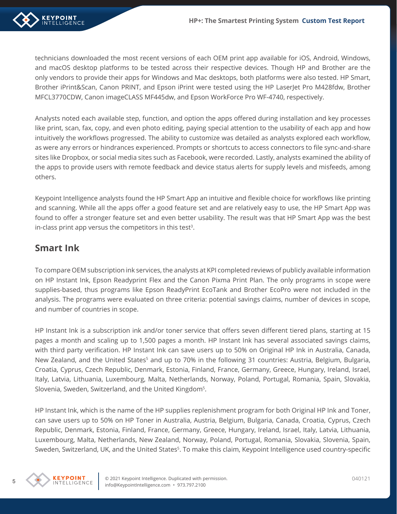

technicians downloaded the most recent versions of each OEM print app available for iOS, Android, Windows, and macOS desktop platforms to be tested across their respective devices. Though HP and Brother are the only vendors to provide their apps for Windows and Mac desktops, both platforms were also tested. HP Smart, Brother iPrint&Scan, Canon PRINT, and Epson iPrint were tested using the HP LaserJet Pro M428fdw, Brother MFCL3770CDW, Canon imageCLASS MF445dw, and Epson WorkForce Pro WF-4740, respectively.

Analysts noted each available step, function, and option the apps offered during installation and key processes like print, scan, fax, copy, and even photo editing, paying special attention to the usability of each app and how intuitively the workflows progressed. The ability to customize was detailed as analysts explored each workflow, as were any errors or hindrances experienced. Prompts or shortcuts to access connectors to file sync-and-share sites like Dropbox, or social media sites such as Facebook, were recorded. Lastly, analysts examined the ability of the apps to provide users with remote feedback and device status alerts for supply levels and misfeeds, among others.

Keypoint Intelligence analysts found the HP Smart App an intuitive and flexible choice for workflows like printing and scanning. While all the apps offer a good feature set and are relatively easy to use, the HP Smart App was found to offer a stronger feature set and even better usability. The result was that HP Smart App was the best in-class print app versus the competitors in this test<sup>3</sup>.

### **Smart Ink**

To compare OEM subscription ink services, the analysts at KPI completed reviews of publicly available information on HP Instant Ink, Epson Readyprint Flex and the Canon Pixma Print Plan. The only programs in scope were supplies-based, thus programs like Epson ReadyPrint EcoTank and Brother EcoPro were not included in the analysis. The programs were evaluated on three criteria: potential savings claims, number of devices in scope, and number of countries in scope.

HP Instant Ink is a subscription ink and/or toner service that offers seven different tiered plans, starting at 15 pages a month and scaling up to 1,500 pages a month. HP Instant Ink has several associated savings claims, with third party verification. HP Instant Ink can save users up to 50% on Original HP Ink in Australia, Canada, New Zealand, and the United States<sup>5</sup> and up to 70% in the following 31 countries: Austria, Belgium, Bulgaria, Croatia, Cyprus, Czech Republic, Denmark, Estonia, Finland, France, Germany, Greece, Hungary, Ireland, Israel, Italy, Latvia, Lithuania, Luxembourg, Malta, Netherlands, Norway, Poland, Portugal, Romania, Spain, Slovakia, Slovenia, Sweden, Switzerland, and the United Kingdom5.

HP Instant Ink, which is the name of the HP supplies replenishment program for both Original HP Ink and Toner, can save users up to 50% on HP Toner in Australia, Austria, Belgium, Bulgaria, Canada, Croatia, Cyprus, Czech Republic, Denmark, Estonia, Finland, France, Germany, Greece, Hungary, Ireland, Israel, Italy, Latvia, Lithuania, Luxembourg, Malta, Netherlands, New Zealand, Norway, Poland, Portugal, Romania, Slovakia, Slovenia, Spain, Sweden, Switzerland, UK, and the United States<sup>5</sup>. To make this claim, Keypoint Intelligence used country-specific

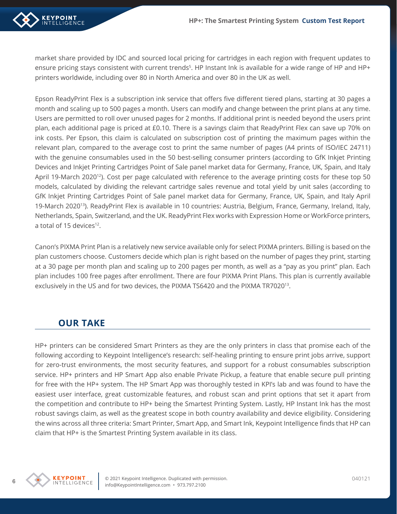

market share provided by IDC and sourced local pricing for cartridges in each region with frequent updates to ensure pricing stays consistent with current trends<sup>5</sup>. HP Instant Ink is available for a wide range of HP and HP+ printers worldwide, including over 80 in North America and over 80 in the UK as well.

Epson ReadyPrint Flex is a subscription ink service that offers five different tiered plans, starting at 30 pages a month and scaling up to 500 pages a month. Users can modify and change between the print plans at any time. Users are permitted to roll over unused pages for 2 months. If additional print is needed beyond the users print plan, each additional page is priced at £0.10. There is a savings claim that ReadyPrint Flex can save up 70% on ink costs. Per Epson, this claim is calculated on subscription cost of printing the maximum pages within the relevant plan, compared to the average cost to print the same number of pages (A4 prints of ISO/IEC 24711) with the genuine consumables used in the 50 best-selling consumer printers (according to GfK Inkjet Printing Devices and Inkjet Printing Cartridges Point of Sale panel market data for Germany, France, UK, Spain, and Italy April 19-March 2020<sup>12</sup>). Cost per page calculated with reference to the average printing costs for these top 50 models, calculated by dividing the relevant cartridge sales revenue and total yield by unit sales (according to GfK Inkjet Printing Cartridges Point of Sale panel market data for Germany, France, UK, Spain, and Italy April 19-March 202013). ReadyPrint Flex is available in 10 countries: Austria, Belgium, France, Germany, Ireland, Italy, Netherlands, Spain, Switzerland, and the UK. ReadyPrint Flex works with Expression Home or WorkForce printers, a total of 15 devices<sup>12</sup>.

Canon's PIXMA Print Plan is a relatively new service available only for select PIXMA printers. Billing is based on the plan customers choose. Customers decide which plan is right based on the number of pages they print, starting at a 30 page per month plan and scaling up to 200 pages per month, as well as a "pay as you print" plan. Each plan includes 100 free pages after enrollment. There are four PIXMA Print Plans. This plan is currently available exclusively in the US and for two devices, the PIXMA TS6420 and the PIXMA TR702013.

#### **OUR TAKE**

HP+ printers can be considered Smart Printers as they are the only printers in class that promise each of the following according to Keypoint Intelligence's research: self-healing printing to ensure print jobs arrive, support for zero-trust environments, the most security features, and support for a robust consumables subscription service. HP+ printers and HP Smart App also enable Private Pickup, a feature that enable secure pull printing for free with the HP+ system. The HP Smart App was thoroughly tested in KPI's lab and was found to have the easiest user interface, great customizable features, and robust scan and print options that set it apart from the competition and contribute to HP+ being the Smartest Printing System. Lastly, HP Instant Ink has the most robust savings claim, as well as the greatest scope in both country availability and device eligibility. Considering the wins across all three criteria: Smart Printer, Smart App, and Smart Ink, Keypoint Intelligence finds that HP can claim that HP+ is the Smartest Printing System available in its class.

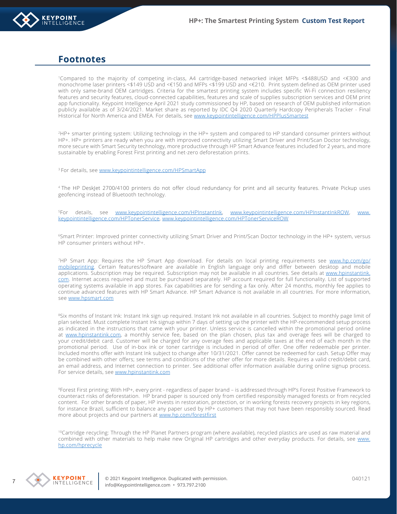

#### **Footnotes**

1Compared to the majority of competing in-class, A4 cartridge-based networked inkjet MFPs <\$488USD and <€300 and monochrome laser printers <\$149 USD and <€150 and MFPs <\$199 USD and <€210. Print system defined as OEM printer used with only same-brand OEM cartridges. Criteria for the smartest printing system includes specific Wi-Fi connection resiliency features and security features, cloud-connected capabilities, features and scale of supplies subscription services and OEM print app functionality. Keypoint Intelligence April 2021 study commissioned by HP, based on research of OEM published information publicly available as of 3/24/2021. Market share as reported by IDC Q4 2020 Quarterly Hardcopy Peripherals Tracker - Final Historical for North America and EMEA. For details, see [www.keypointintelligence.com/HPPlusSmartest](http://www.keypointintelligence.com/HPPlusSmartest)

2HP+ smarter printing system: Utilizing technology in the HP+ system and compared to HP standard consumer printers without HP+. HP+ printers are ready when you are with improved connectivity utilizing Smart Driver and Print/Scan Doctor technology, more secure with Smart Security technology, more productive through HP Smart Advance features included for 2 years, and more sustainable by enabling Forest First printing and net-zero deforestation prints.

<sup>3</sup> For details, see [www.keypointintelligence.com/HPSmartApp](http://www.keypointintelligence.com/HPSmartApp)

<sup>4</sup>The HP DeskJet 2700/4100 printers do not offer cloud redundancy for print and all security features. Private Pickup uses geofencing instead of Bluetooth technology.

5For details, see [www.keypointintelligence.com/HPInstantInk](file:///C:\Users\vranas\AppData\Local\Microsoft\Windows\INetCache\Content.Outlook\RDJ39U64\www.keypointintelligence.com\HPInstantInk), [www.keypointintelligence.com/HPInstantInkROW](http://www.keypointintelligence.com/HPInstantInkROW), [www.](http://www.keypointintelligence.com/HPTonerService) [keypointintelligence.com/HPTonerService](http://www.keypointintelligence.com/HPTonerService), [www.keypointintelligence.com/HPTonerServiceROW](http://www.keypointintelligence.com/HPTonerServiceROW)

<sup>6</sup>Smart Printer: Improved printer connectivity utilizing Smart Driver and Print/Scan Doctor technology in the HP+ system, versus HP consumer printers without HP+.

7HP Smart App: Requires the HP Smart App download. For details on local printing requirements see [www.hp.com/go/](http://www.hp.com/go/mobileprinting) [mobileprinting](http://www.hp.com/go/mobileprinting). Certain features/software are available in English language only and differ between desktop and mobile applications. Subscription may be required. Subscription may not be available in all countries. See details at [www.hpinstantink.](http://www.hpinstantink.com/) [com](http://www.hpinstantink.com/). Internet access required and must be purchased separately. HP account required for full functionality. List of supported operating systems available in app stores. Fax capabilities are for sending a fax only. After 24 months, monthly fee applies to continue advanced features with HP Smart Advance. HP Smart Advance is not available in all countries. For more information, see [www.hpsmart.com](http://www.hpsmart.com/smart-advance)

<sup>8</sup>Six months of Instant Ink: Instant Ink sign up required. Instant Ink not available in all countries. Subject to monthly page limit of plan selected. Must complete Instant Ink signup within 7 days of setting up the printer with the HP-recommended setup process as indicated in the instructions that came with your printer. Unless service is cancelled within the promotional period online at [www.hpinstantink.com](http://www.hpinstantink.com/), a monthly service fee, based on the plan chosen, plus tax and overage fees will be charged to your credit/debit card. Customer will be charged for any overage fees and applicable taxes at the end of each month in the promotional period. Use of in-box ink or toner cartridge is included in period of offer. One offer redeemable per printer. Included months offer with Instant Ink subject to change after 10/31/2021. Offer cannot be redeemed for cash. Setup Offer may be combined with other offers; see terms and conditions of the other offer for more details. Requires a valid credit/debit card, an email address, and Internet connection to printer. See additional offer information available during online signup process. For service details, see [www.hpinstantink.com](http://www.hpinstantink.com/)

<sup>9</sup>Forest First printing: With HP+, every print - regardless of paper brand – is addressed through HP's Forest Positive Framework to counteract risks of deforestation. HP brand paper is sourced only from certified responsibly managed forests or from recycled content. For other brands of paper, HP invests in restoration, protection, or in working forests recovery projects in key regions, for instance Brazil, sufficient to balance any paper used by HP+ customers that may not have been responsibly sourced. Read more about projects and our partners at [www.hp.com/forestfirst](file:///C:\Users\vranas\AppData\Local\Microsoft\Windows\INetCache\Content.Outlook\RDJ39U64\www.hp.com\forestfirst)

<sup>10</sup>Cartridge recycling: Through the HP Planet Partners program (where available), recycled plastics are used as raw material and combined with other materials to help make new Original HP cartridges and other everyday products. For details, see [www.](http://www.hp.com/hprecycle) [hp.com/hprecycle](http://www.hp.com/hprecycle)



© 2021 Keypoint Intelligence. Duplicated with permission. 040121 info@KeypointIntelligence.com • 973.797.2100